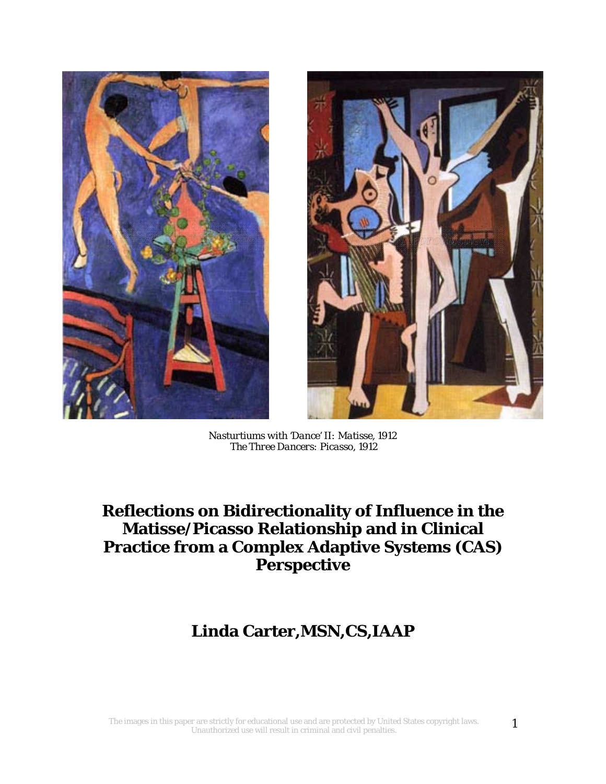



*Nasturtiums with 'Dance' II: Matisse, 1912 The Three Dancers: Picasso, 1912* 

# **Reflections on Bidirectionality of Influence in the Matisse/Picasso Relationship and in Clinical Practice from a Complex Adaptive Systems (CAS) Perspective**

# **Linda Carter,MSN,CS,IAAP**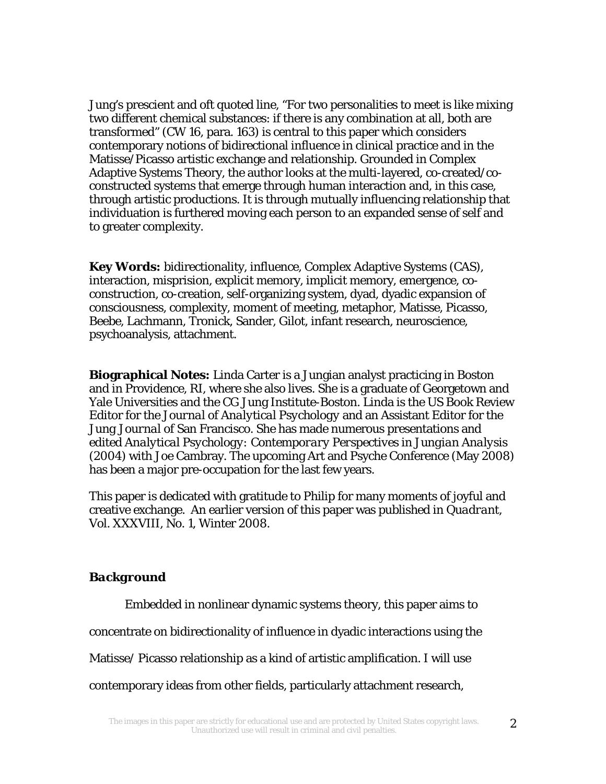Jung's prescient and oft quoted line, "For two personalities to meet is like mixing two different chemical substances: if there is any combination at all, both are transformed" (CW 16, para. 163) is central to this paper which considers contemporary notions of bidirectional influence in clinical practice and in the Matisse/Picasso artistic exchange and relationship. Grounded in Complex Adaptive Systems Theory, the author looks at the multi-layered, co-created/coconstructed systems that emerge through human interaction and, in this case, through artistic productions. It is through mutually influencing relationship that individuation is furthered moving each person to an expanded sense of self and to greater complexity.

**Key Words:** bidirectionality, influence, Complex Adaptive Systems (CAS), interaction, misprision, explicit memory, implicit memory, emergence, coconstruction, co-creation, self-organizing system, dyad, dyadic expansion of consciousness, complexity, moment of meeting, metaphor, Matisse, Picasso, Beebe, Lachmann, Tronick, Sander, Gilot, infant research, neuroscience, psychoanalysis, attachment.

**Biographical Notes:** Linda Carter is a Jungian analyst practicing in Boston and in Providence, RI, where she also lives. She is a graduate of Georgetown and Yale Universities and the CG Jung Institute-Boston. Linda is the US Book Review Editor for the *Journal of Analytical Psychology* and an Assistant Editor for the *Jung Journal* of San Francisco. She has made numerous presentations and edited *Analytical Psychology: Contemporary Perspectives in Jungian Analysis* (2004) with Joe Cambray. The upcoming Art and Psyche Conference (May 2008) has been a major pre-occupation for the last few years.

This paper is dedicated with gratitude to Philip for many moments of joyful and creative exchange. An earlier version of this paper was published in *Quadrant*, Vol. XXXVIII, No. 1, Winter 2008.

### *Background*

Embedded in nonlinear dynamic systems theory, this paper aims to

concentrate on bidirectionality of influence in dyadic interactions using the

Matisse/ Picasso relationship as a kind of artistic amplification. I will use

contemporary ideas from other fields, particularly attachment research,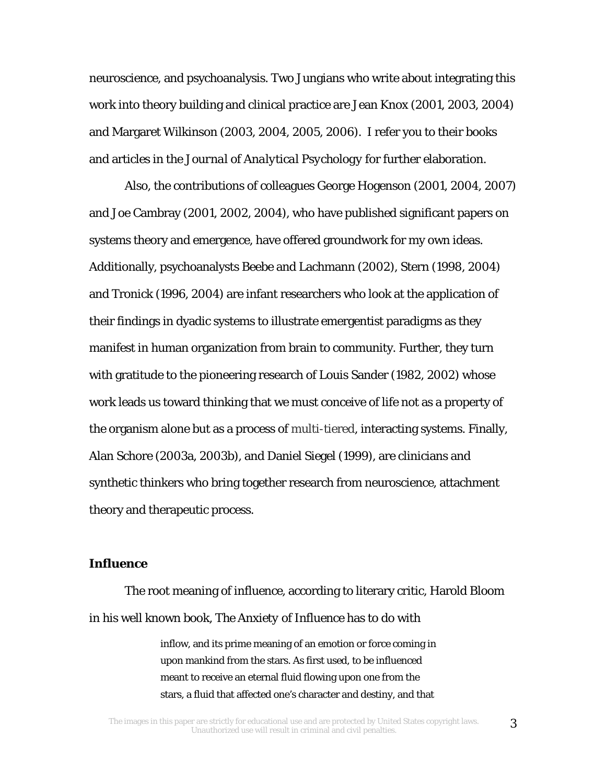neuroscience, and psychoanalysis. Two Jungians who write about integrating this work into theory building and clinical practice are Jean Knox (2001, 2003, 2004) and Margaret Wilkinson (2003, 2004, 2005, 2006). I refer you to their books and articles in the *Journal of Analytical Psychology* for further elaboration.

 Also, the contributions of colleagues George Hogenson (2001, 2004, 2007) and Joe Cambray (2001, 2002, 2004), who have published significant papers on systems theory and emergence, have offered groundwork for my own ideas. Additionally, psychoanalysts Beebe and Lachmann (2002), Stern (1998, 2004) and Tronick (1996, 2004) are infant researchers who look at the application of their findings in dyadic systems to illustrate emergentist paradigms as they manifest in human organization from brain to community. Further, they turn with gratitude to the pioneering research of Louis Sander (1982, 2002) whose work leads us toward thinking that we must conceive of life not as a property of the organism alone but as a process of multi-tiered, interacting systems. Finally, Alan Schore (2003a, 2003b), and Daniel Siegel (1999), are clinicians and synthetic thinkers who bring together research from neuroscience, attachment theory and therapeutic process.

# *Influence*

The root meaning of *influence*, according to literary critic, Harold Bloom in his well known book, *The Anxiety of Influence* has to do with

> inflow, and its prime meaning of an emotion or force coming in upon mankind from the stars. As first used, to be influenced meant to receive an eternal fluid flowing upon one from the stars, a fluid that affected one's character and destiny, and that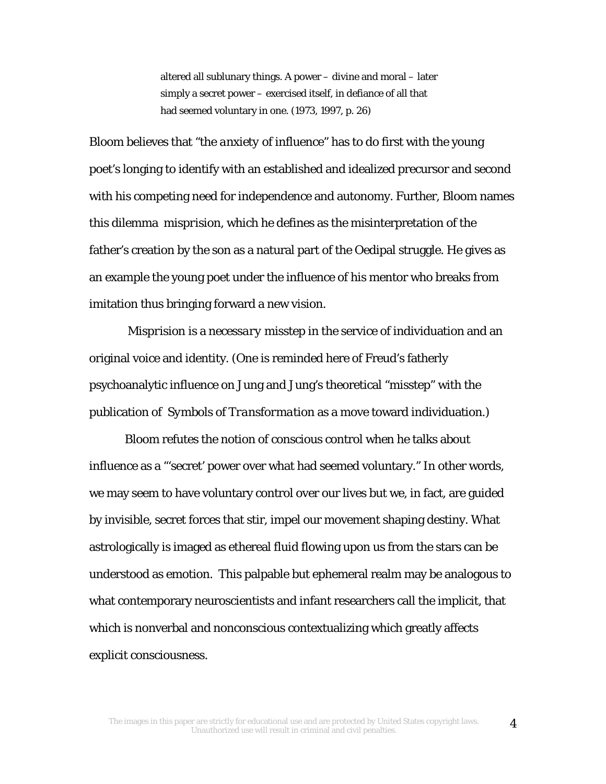altered all sublunary things. A power – divine and moral – later simply a secret power – exercised itself, in defiance of all that had seemed voluntary in one. (1973, 1997, p. 26)

Bloom believes that "the *anxiety* of influence" has to do first with the young poet's longing to identify with an established and idealized precursor and second with his competing need for independence and autonomy. Further, Bloom names this dilemma *misprision,* which he defines as the misinterpretation of the father's creation by the son as a natural part of the Oedipal struggle. He gives as an example the young poet under the influence of his mentor who breaks from imitation thus bringing forward a new vision.

*Misprision* is a *necessary* misstep in the service of individuation and an original voice and identity. (One is reminded here of Freud's fatherly psychoanalytic influence on Jung and Jung's theoretical "misstep" with the publication of *Symbols of Transformation* as a move toward individuation.)

Bloom refutes the notion of conscious control when he talks about influence as a "'secret' power over what had seemed voluntary." In other words, we may seem to have voluntary control over our lives but we, in fact, are guided by invisible, secret forces that stir, impel our movement shaping destiny. What astrologically is imaged as ethereal fluid flowing upon us from the stars can be understood as emotion. This palpable but ephemeral realm may be analogous to what contemporary neuroscientists and infant researchers call the implicit, that which is nonverbal and nonconscious contextualizing which greatly affects explicit consciousness.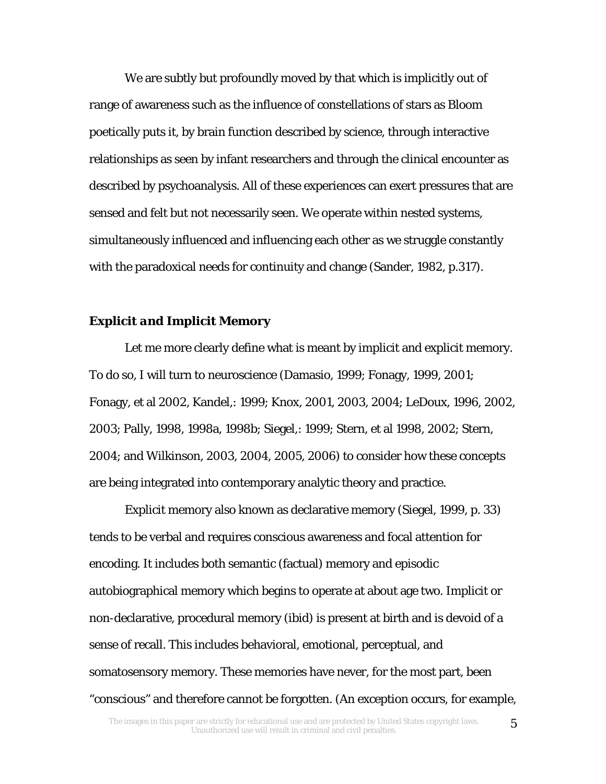We are subtly but profoundly moved by that which is implicitly out of range of awareness such as the influence of constellations of stars as Bloom poetically puts it, by brain function described by science, through interactive relationships as seen by infant researchers and through the clinical encounter as described by psychoanalysis. All of these experiences can exert pressures that are sensed and felt but not necessarily seen. We operate within nested systems, simultaneously influenced and influencing each other as we struggle constantly with the paradoxical needs for continuity and change (Sander, 1982, p.317).

# *Explicit and Implicit Memory*

Let me more clearly define what is meant by implicit and explicit memory. To do so, I will turn to neuroscience (Damasio, 1999; Fonagy, 1999, 2001; Fonagy, et al 2002, Kandel,: 1999; Knox, 2001, 2003, 2004; LeDoux, 1996, 2002, 2003; Pally, 1998, 1998a, 1998b; Siegel,: 1999; Stern, et al 1998, 2002; Stern, 2004; and Wilkinson, 2003, 2004, 2005, 2006) to consider how these concepts are being integrated into contemporary analytic theory and practice.

Explicit memory also known as declarative memory (Siegel, 1999, p. 33) tends to be verbal and requires conscious awareness and focal attention for encoding. It includes both semantic (factual) memory and episodic autobiographical memory which begins to operate at about age two. Implicit or non-declarative, procedural memory (ibid) is present at birth and is devoid of a sense of recall. This includes behavioral, emotional, perceptual, and somatosensory memory. These memories have never, for the most part, been "conscious" and therefore cannot be forgotten. (An exception occurs, for example,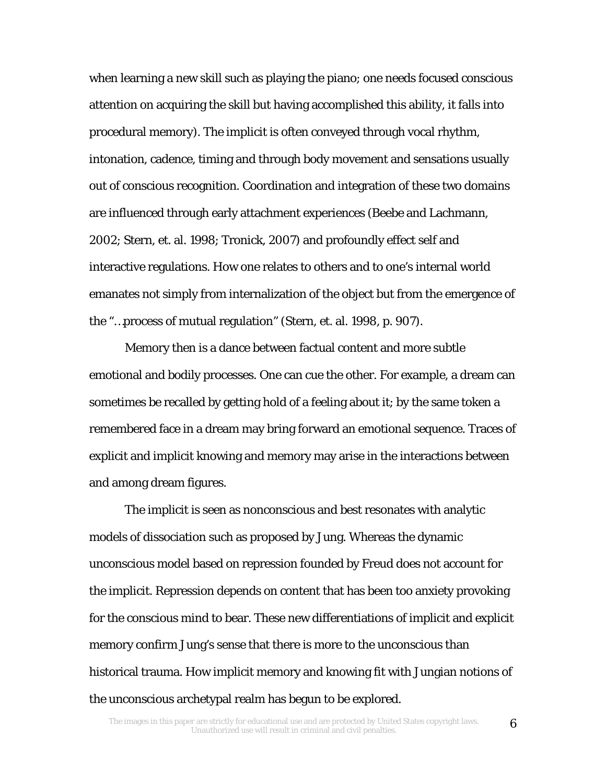when learning a new skill such as playing the piano; one needs focused conscious attention on acquiring the skill but having accomplished this ability, it falls into procedural memory). The implicit is often conveyed through vocal rhythm, intonation, cadence, timing and through body movement and sensations usually out of conscious recognition. Coordination and integration of these two domains are influenced through early attachment experiences (Beebe and Lachmann, 2002; Stern, et. al. 1998; Tronick, 2007) and profoundly effect self and interactive regulations. How one relates to others and to one's internal world emanates not simply from internalization of the object but from the emergence of the "…process of mutual regulation" (Stern, et. al. 1998, p. 907).

Memory then is a dance between factual content and more subtle emotional and bodily processes. One can cue the other. For example, a dream can sometimes be recalled by getting hold of a feeling about it; by the same token a remembered face in a dream may bring forward an emotional sequence. Traces of explicit and implicit knowing and memory may arise in the interactions between and among dream figures.

 The implicit is seen as nonconscious and best resonates with analytic models of dissociation such as proposed by Jung. Whereas the dynamic unconscious model based on repression founded by Freud does not account for the implicit. Repression depends on content that has been too anxiety provoking for the conscious mind to bear. These new differentiations of implicit and explicit memory confirm Jung's sense that there is more to the unconscious than historical trauma. How implicit memory and knowing fit with Jungian notions of the unconscious archetypal realm has begun to be explored.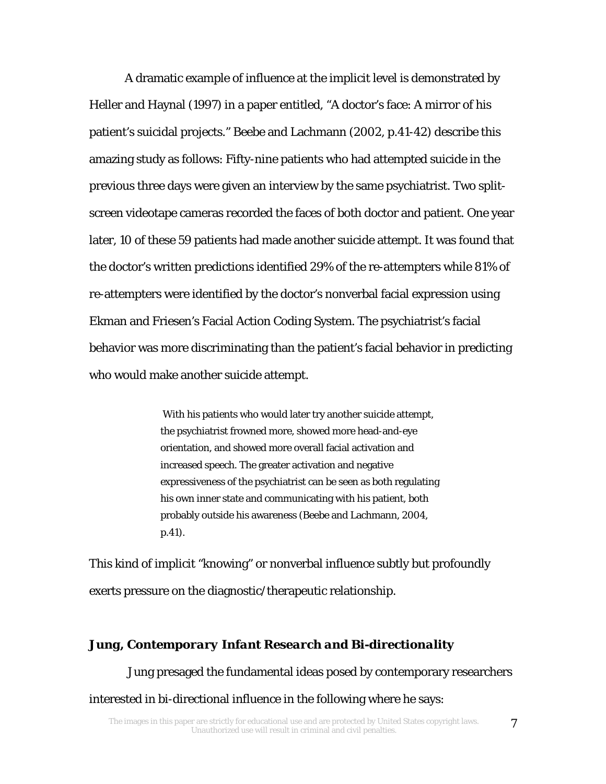A dramatic example of influence at the implicit level is demonstrated by Heller and Haynal (1997) in a paper entitled, "A doctor's face: A mirror of his patient's suicidal projects." Beebe and Lachmann (2002, p.41-42) describe this amazing study as follows: Fifty-nine patients who had attempted suicide in the previous three days were given an interview by the same psychiatrist. Two splitscreen videotape cameras recorded the faces of both doctor and patient. One year later, 10 of these 59 patients had made another suicide attempt. It was found that the doctor's written predictions identified 29% of the re-attempters while 81% of re-attempters were identified by the doctor's nonverbal facial expression using Ekman and Friesen's Facial Action Coding System. The psychiatrist's facial behavior was more discriminating than the patient's facial behavior in predicting who would make another suicide attempt.

> With his patients who would later try another suicide attempt, the psychiatrist frowned more, showed more head-and-eye orientation, and showed more overall facial activation and increased speech. The greater activation and negative expressiveness of the psychiatrist can be seen as both regulating his own inner state and communicating with his patient, both probably outside his awareness (Beebe and Lachmann, 2004, p.41).

This kind of implicit "knowing" or nonverbal influence subtly but profoundly exerts pressure on the diagnostic/therapeutic relationship.

#### *Jung, Contemporary Infant Research and Bi-directionality*

 Jung presaged the fundamental ideas posed by contemporary researchers interested in bi-directional influence in the following where he says: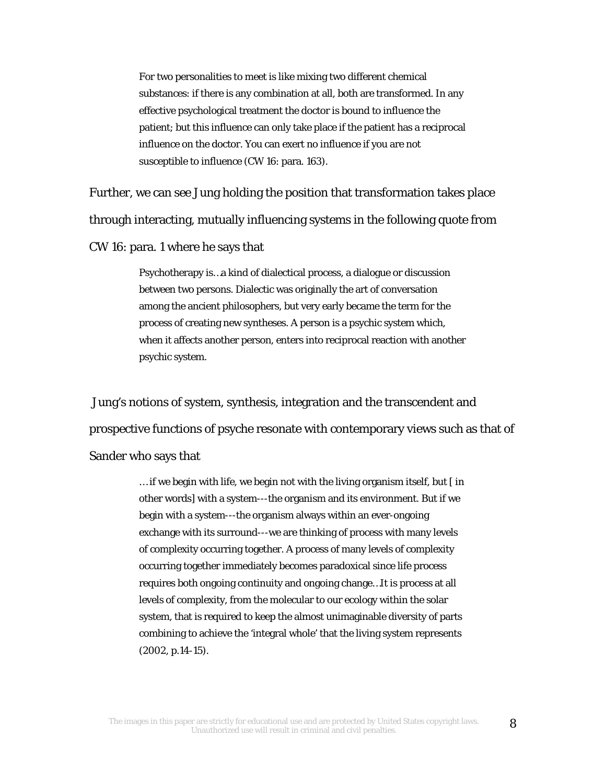For two personalities to meet is like mixing two different chemical substances: if there is any combination at all, both are transformed. In any effective psychological treatment the doctor is bound to influence the patient; but this influence can only take place if the patient has a reciprocal influence on the doctor. You can exert no influence if you are not susceptible to influence (*CW* 16: para. 163).

Further, we can see Jung holding the position that transformation takes place through interacting, mutually influencing systems in the following quote from *CW* 16: para. 1 where he says that

> Psychotherapy is…a kind of dialectical process, a dialogue or discussion between two persons. Dialectic was originally the art of conversation among the ancient philosophers, but very early became the term for the process of creating new syntheses. A person is a psychic system which, when it affects another person, enters into reciprocal reaction with another psychic system.

 Jung's notions of system, synthesis, integration and the transcendent and prospective functions of psyche resonate with contemporary views such as that of Sander who says that

> … if we begin with life, we begin not with the living organism itself, but [ in other words] with a system---the organism and its environment. But if we begin with a system---the organism always within an ever-ongoing exchange with its surround---we are thinking of process with many levels of complexity occurring together. A process of many levels of complexity occurring together immediately becomes paradoxical since life process requires both ongoing continuity and ongoing change…It is process at all levels of complexity, from the molecular to our ecology within the solar system, that is required to keep the almost unimaginable diversity of parts combining to achieve the 'integral whole' that the living system represents (2002, p.14-15).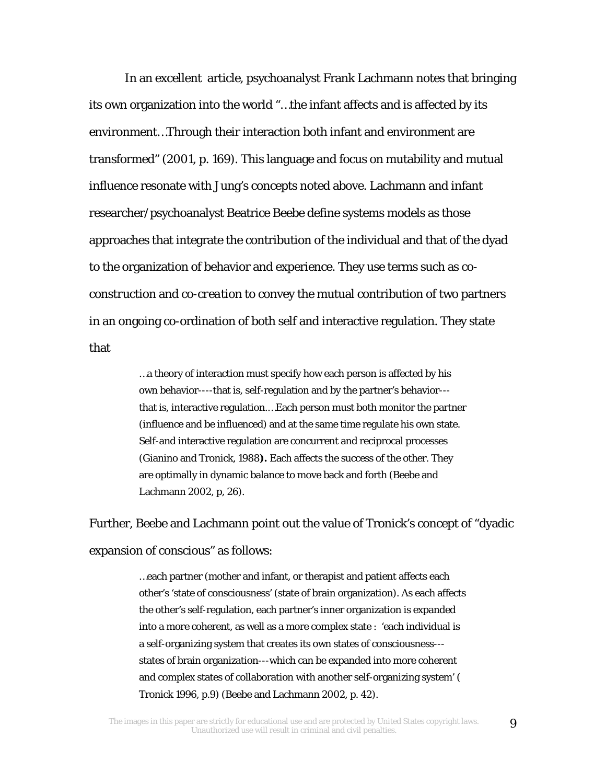In an excellent article, psychoanalyst Frank Lachmann notes that bringing its own organization into the world "…the infant affects and is affected by its environment…Through their interaction both infant and environment are transformed" (2001, p. 169). This language and focus on mutability and mutual influence resonate with Jung's concepts noted above. Lachmann and infant researcher/psychoanalyst Beatrice Beebe define systems models as those approaches that integrate the contribution of the individual and that of the dyad to the organization of behavior and experience. They use terms such as *coconstruction* and *co-creation* to convey the mutual contribution of two partners in an ongoing co-ordination of both self and interactive regulation. They state that

> …a theory of interaction must specify how each person is affected by his own behavior----that is, self-regulation and by the partner's behavior-- that is, interactive regulation.…Each person must both monitor the partner (influence and be influenced) and at the same time regulate his own state. Self-and interactive regulation are concurrent and reciprocal processes (Gianino and Tronick, 1988**).** Each affects the success of the other. They are optimally in dynamic balance to move back and forth (Beebe and Lachmann 2002, p, 26).

Further, Beebe and Lachmann point out the value of Tronick's concept of "dyadic expansion of conscious" as follows:

> …each partner (mother and infant, or therapist and patient affects each other's 'state of consciousness' (state of brain organization). As each affects the other's self-regulation, each partner's inner organization is expanded into a more coherent, as well as a more complex state : 'each individual is a self-organizing system that creates its own states of consciousness-- states of brain organization---which can be expanded into more coherent and complex states of collaboration with another self-organizing system' ( Tronick 1996, p.9) (Beebe and Lachmann 2002, p. 42).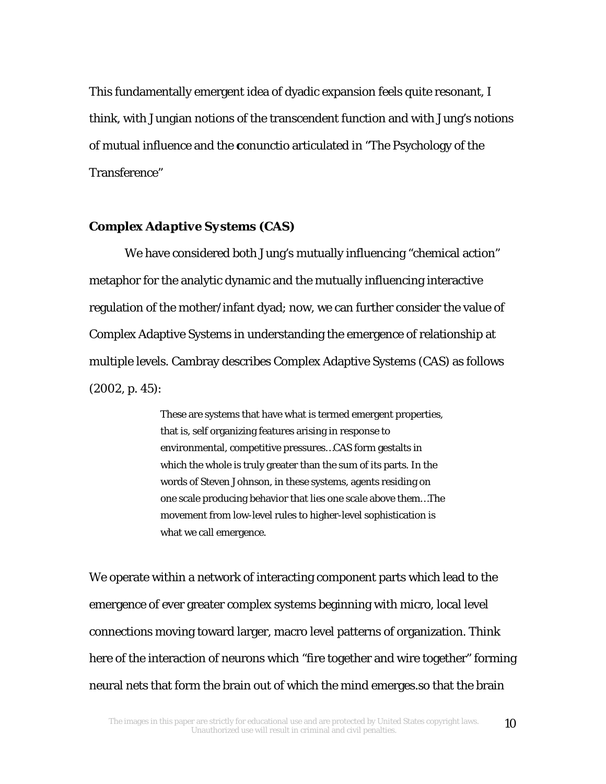This fundamentally emergent idea of dyadic expansion feels quite resonant, I think, with Jungian notions of the transcendent function and with Jung's notions of mutual influence and the *conunctio* articulated in "The Psychology of the Transference"

#### *Complex Adaptive Systems (CAS)*

We have considered both Jung's mutually influencing "chemical action" metaphor for the analytic dynamic and the mutually influencing interactive regulation of the mother/infant dyad; now, we can further consider the value of Complex Adaptive Systems in understanding the emergence of relationship at multiple levels. Cambray describes Complex Adaptive Systems (CAS) as follows (2002, p. 45):

> These are systems that have what is termed emergent properties, that is, self organizing features arising in response to environmental, competitive pressures…CAS form gestalts in which the whole is truly greater than the sum of its parts. In the words of Steven Johnson, in these systems, agents residing on one scale producing behavior that lies one scale above them…The movement from low-level rules to higher-level sophistication is what we call emergence.

We operate within a network of interacting component parts which lead to the emergence of ever greater complex systems beginning with micro, local level connections moving toward larger, macro level patterns of organization. Think here of the interaction of neurons which "fire together and wire together" forming neural nets that form the brain out of which the mind emerges.so that the brain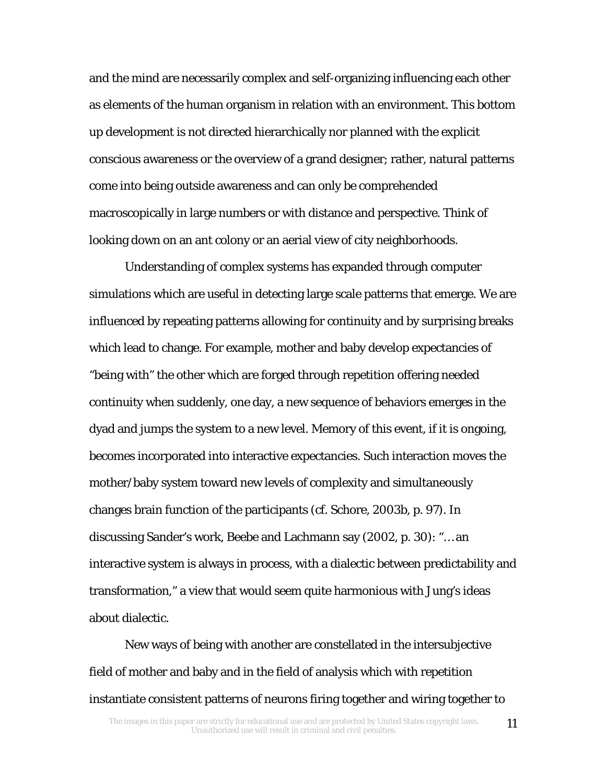and the mind are necessarily complex and self-organizing influencing each other as elements of the human organism in relation with an environment. This bottom up development is not directed hierarchically nor planned with the explicit conscious awareness or the overview of a grand designer; rather, natural patterns come into being outside awareness and can only be comprehended macroscopically in large numbers or with distance and perspective. Think of looking down on an ant colony or an aerial view of city neighborhoods.

Understanding of complex systems has expanded through computer simulations which are useful in detecting large scale patterns that emerge. We are influenced by repeating patterns allowing for continuity and by surprising breaks which lead to change. For example, mother and baby develop expectancies of "being with" the other which are forged through repetition offering needed continuity when suddenly, one day, a new sequence of behaviors emerges in the dyad and jumps the system to a new level. Memory of this event, if it is ongoing, becomes incorporated into interactive expectancies. Such interaction moves the mother/baby system toward new levels of complexity and simultaneously changes brain function of the participants (*cf.* Schore, 2003b, p. 97). In discussing Sander's work, Beebe and Lachmann say (2002, p. 30): "… an interactive system is always in process, with a dialectic between predictability and transformation," a view that would seem quite harmonious with Jung's ideas about dialectic.

New ways of being with another are constellated in the intersubjective field of mother and baby and in the field of analysis which with repetition instantiate consistent patterns of neurons firing together and wiring together to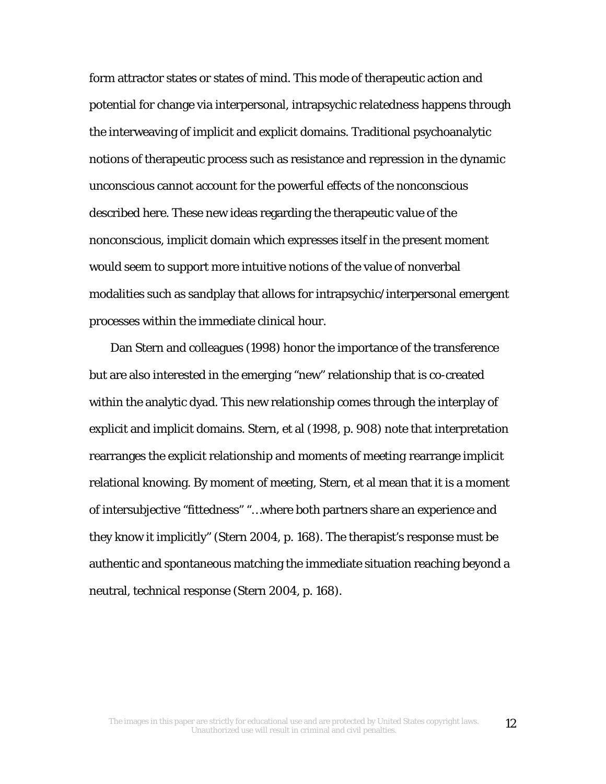form attractor states or states of mind. This mode of therapeutic action and potential for change via interpersonal, intrapsychic relatedness happens through the interweaving of implicit and explicit domains. Traditional psychoanalytic notions of therapeutic process such as resistance and repression in the dynamic unconscious cannot account for the powerful effects of the nonconscious described here. These new ideas regarding the therapeutic value of the nonconscious, implicit domain which expresses itself in the present moment would seem to support more intuitive notions of the value of nonverbal modalities such as sandplay that allows for intrapsychic/interpersonal emergent processes within the immediate clinical hour.

Dan Stern and colleagues (1998) honor the importance of the transference but are also interested in the emerging "new" relationship that is co-created within the analytic dyad. This new relationship comes through the interplay of explicit and implicit domains. Stern, et al (1998, p. 908) note that interpretation rearranges the explicit relationship and *moments of meeting* rearrange implicit relational knowing. By *moment of meeting*, Stern, et al mean that it is a moment of intersubjective "fittedness" "…where both partners share an experience and they know it implicitly" (Stern 2004, p. 168). The therapist's response must be authentic and spontaneous matching the immediate situation reaching beyond a neutral, technical response (Stern 2004, p. 168).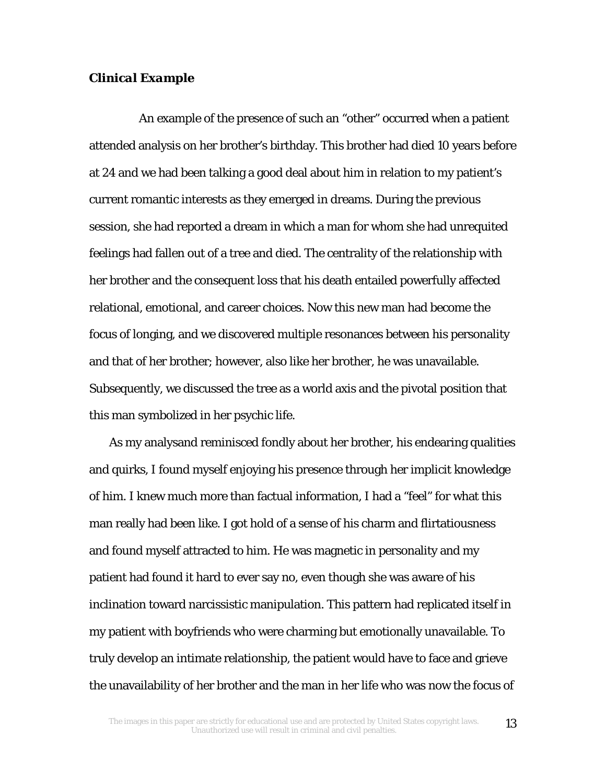#### *Clinical Example*

 An example of the presence of such an "other" occurred when a patient attended analysis on her brother's birthday. This brother had died 10 years before at 24 and we had been talking a good deal about him in relation to my patient's current romantic interests as they emerged in dreams. During the previous session, she had reported a dream in which a man for whom she had unrequited feelings had fallen out of a tree and died. The centrality of the relationship with her brother and the consequent loss that his death entailed powerfully affected relational, emotional, and career choices. Now this new man had become the focus of longing, and we discovered multiple resonances between his personality and that of her brother; however, also like her brother, he was unavailable. Subsequently, we discussed the tree as a world axis and the pivotal position that this man symbolized in her psychic life.

 As my analysand reminisced fondly about her brother, his endearing qualities and quirks, I found myself enjoying his presence through her implicit knowledge of him. I knew much more than factual information, I had a "feel" for what this man really had been like. I got hold of a sense of his charm and flirtatiousness and found myself attracted to him. He was magnetic in personality and my patient had found it hard to ever say no, even though she was aware of his inclination toward narcissistic manipulation. This pattern had replicated itself in my patient with boyfriends who were charming but emotionally unavailable. To truly develop an intimate relationship, the patient would have to face and grieve the unavailability of her brother and the man in her life who was now the focus of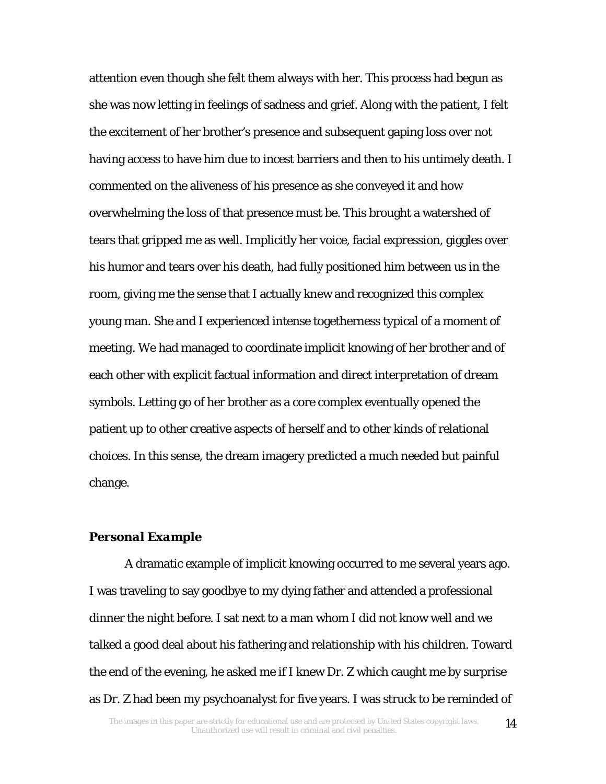attention even though she felt them always with her. This process had begun as she was now letting in feelings of sadness and grief. Along with the patient, I felt the excitement of her brother's presence and subsequent gaping loss over not having access to have him due to incest barriers and then to his untimely death. I commented on the aliveness of his presence as she conveyed it and how overwhelming the loss of that presence must be. This brought a watershed of tears that gripped me as well. Implicitly her voice, facial expression, giggles over his humor and tears over his death, had fully positioned him between us in the room, giving me the sense that I actually knew and recognized this complex young man. She and I experienced intense togetherness typical of a *moment of meeting*. We had managed to coordinate implicit knowing of her brother and of each other with explicit factual information and direct interpretation of dream symbols. Letting go of her brother as a core complex eventually opened the patient up to other creative aspects of herself and to other kinds of relational choices. In this sense, the dream imagery predicted a much needed but painful change.

#### *Personal Example*

A dramatic example of implicit knowing occurred to me several years ago. I was traveling to say goodbye to my dying father and attended a professional dinner the night before. I sat next to a man whom I did not know well and we talked a good deal about his fathering and relationship with his children. Toward the end of the evening, he asked me if I knew Dr. Z which caught me by surprise as Dr. Z had been my psychoanalyst for five years. I was struck to be reminded of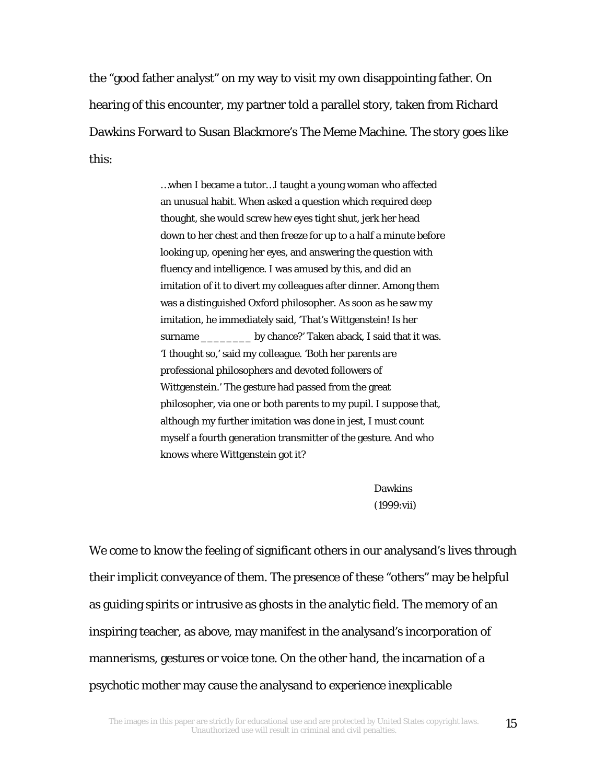the "good father analyst" on my way to visit my own disappointing father. On hearing of this encounter, my partner told a parallel story, taken from Richard Dawkins Forward to Susan Blackmore's The Meme Machine. The story goes like this:

> …when I became a tutor…I taught a young woman who affected an unusual habit. When asked a question which required deep thought, she would screw hew eyes tight shut, jerk her head down to her chest and then freeze for up to a half a minute before looking up, opening her eyes, and answering the question with fluency and intelligence. I was amused by this, and did an imitation of it to divert my colleagues after dinner. Among them was a distinguished Oxford philosopher. As soon as he saw my imitation, he immediately said, 'That's Wittgenstein! Is her surname \_\_\_\_\_\_\_\_\_\_ by chance?' Taken aback, I said that it was. 'I thought so,' said my colleague. 'Both her parents are professional philosophers and devoted followers of Wittgenstein.' The gesture had passed from the great philosopher, via one or both parents to my pupil. I suppose that, although my further imitation was done in jest, I must count myself a fourth generation transmitter of the gesture. And who knows where Wittgenstein got it?

> > Dawkins (1999:vii)

We come to know the feeling of significant others in our analysand's lives through their implicit conveyance of them. The presence of these "others" may be helpful as guiding spirits or intrusive as ghosts in the analytic field. The memory of an inspiring teacher, as above, may manifest in the analysand's incorporation of mannerisms, gestures or voice tone. On the other hand, the incarnation of a psychotic mother may cause the analysand to experience inexplicable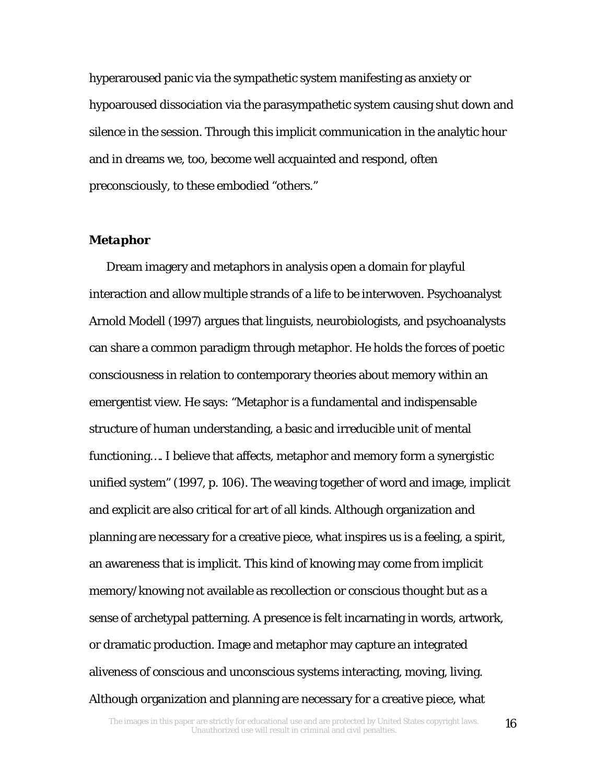hyperaroused panic via the sympathetic system manifesting as anxiety or hypoaroused dissociation via the parasympathetic system causing shut down and silence in the session. Through this implicit communication in the analytic hour and in dreams we, too, become well acquainted and respond, often preconsciously, to these embodied "others."

#### *Metaphor*

 Dream imagery and metaphors in analysis open a domain for playful interaction and allow multiple strands of a life to be interwoven. Psychoanalyst Arnold Modell (1997) argues that linguists, neurobiologists, and psychoanalysts can share a common paradigm through metaphor. He holds the forces of poetic consciousness in relation to contemporary theories about memory within an emergentist view. He says: "Metaphor is a fundamental and indispensable structure of human understanding, a basic and irreducible unit of mental functioning…. I believe that affects, metaphor and memory form a synergistic unified system" (1997, p. 106). The weaving together of word and image, implicit and explicit are also critical for art of all kinds. Although organization and planning are necessary for a creative piece, what inspires us is a feeling, a spirit, an awareness that is implicit. This kind of knowing may come from implicit memory/knowing not available as recollection or conscious thought but as a sense of archetypal patterning. A presence is felt incarnating in words, artwork, or dramatic production. Image and metaphor may capture an integrated aliveness of conscious and unconscious systems interacting, moving, living. Although organization and planning are necessary for a creative piece, what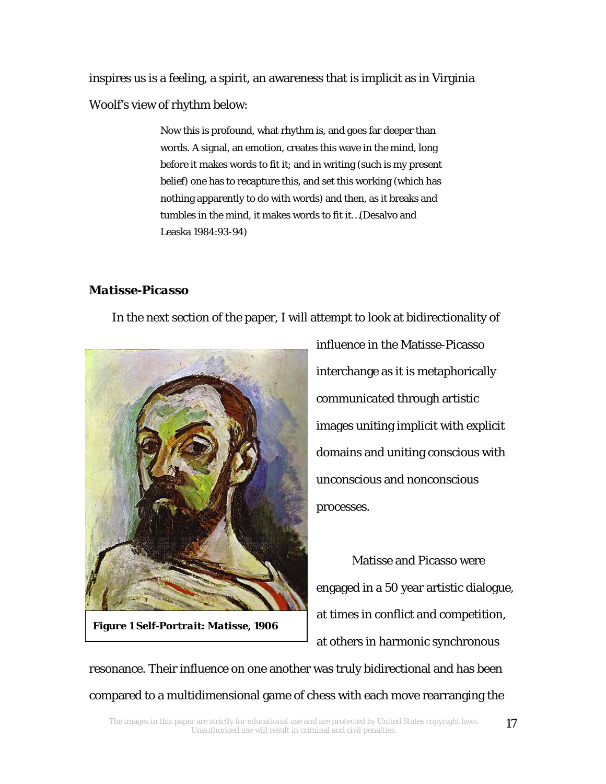inspires us is a feeling, a spirit, an awareness that is implicit as in Virginia Woolf's view of rhythm below:

> Now this is profound, what rhythm is, and goes far deeper than words. A signal, an emotion, creates this wave in the mind, long before it makes words to fit it; and in writing (such is my present belief) one has to recapture this, and set this working (which has nothing apparently to do with words) and then, as it breaks and tumbles in the mind, it makes words to fit it…(Desalvo and Leaska 1984:93-94)

# *Matisse-Picasso*

In the next section of the paper, I will attempt to look at bidirectionality of



**Figure 1** *Self-Portrait: Matisse, 1906*

influence in the Matisse-Picasso interchange as it is metaphorically communicated through artistic images uniting implicit with explicit domains and uniting conscious with unconscious and nonconscious processes.

Matisse and Picasso were engaged in a 50 year artistic dialogue, at times in conflict and competition, at others in harmonic synchronous

resonance. Their influence on one another was truly bidirectional and has been compared to a multidimensional game of chess with each move rearranging the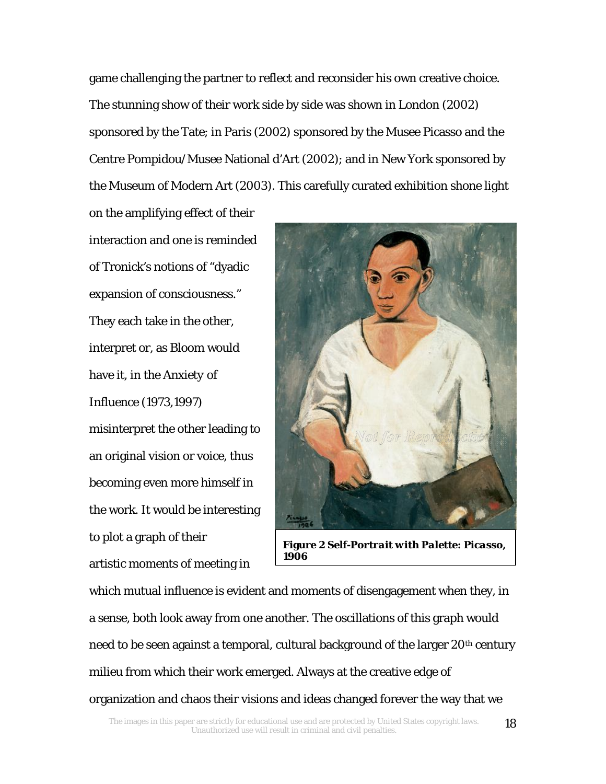game challenging the partner to reflect and reconsider his own creative choice. The stunning show of their work side by side was shown in London (2002) sponsored by the Tate; in Paris (2002) sponsored by the Musee Picasso and the Centre Pompidou/Musee National d'Art (2002); and in New York sponsored by the Museum of Modern Art (2003). This carefully curated exhibition shone light

on the amplifying effect of their interaction and one is reminded of Tronick's notions of "dyadic expansion of consciousness." They each take in the other, interpret or, as Bloom would have it, in the *Anxiety of Influence* (1973,1997) misinterpret the other leading to an original vision or voice, thus becoming even more himself in the work. It would be interesting to plot a graph of their artistic moments of meeting in



**Figure 2** *Self-Portrait with Palette: Picasso, 1906*

which mutual influence is evident and moments of disengagement when they, in a sense, both look away from one another. The oscillations of this graph would need to be seen against a temporal, cultural background of the larger 20<sup>th</sup> century milieu from which their work emerged. Always at the creative edge of organization and chaos their visions and ideas changed forever the way that we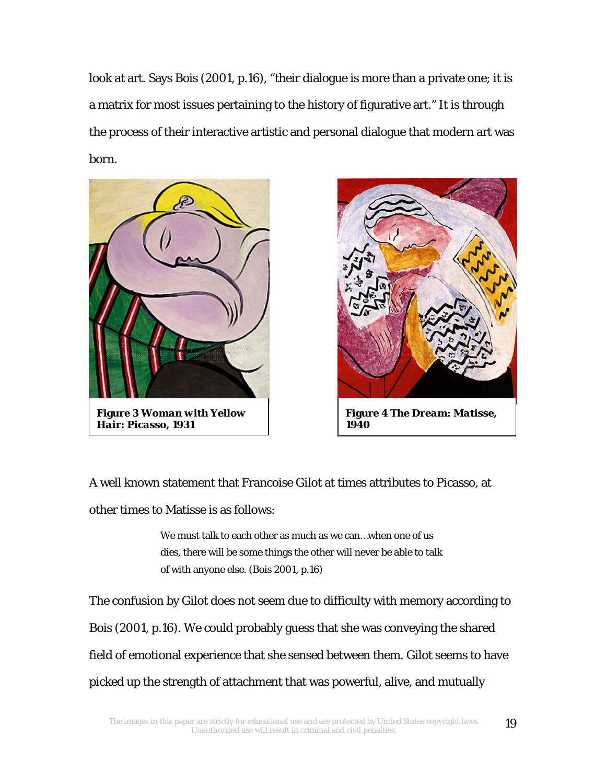look at art. Says Bois (2001, p.16), "their dialogue is more than a private one; it is a matrix for most issues pertaining to the history of figurative art." It is through the process of their interactive artistic and personal dialogue that modern art was born.



**Figure 3** *Woman with Yellow Hair: Picasso, 1931*



**Figure 4** *The Dream: Matisse, 1940*

A well known statement that Francoise Gilot at times attributes to Picasso, at other times to Matisse is as follows:

> We must talk to each other as much as we can…when one of us dies, there will be some things the other will never be able to talk of with anyone else. (Bois 2001, p.16)

The confusion by Gilot does not seem due to difficulty with memory according to Bois (2001, p.16). We could probably guess that she was conveying the shared field of emotional experience that she sensed between them. Gilot seems to have picked up the strength of attachment that was powerful, alive, and mutually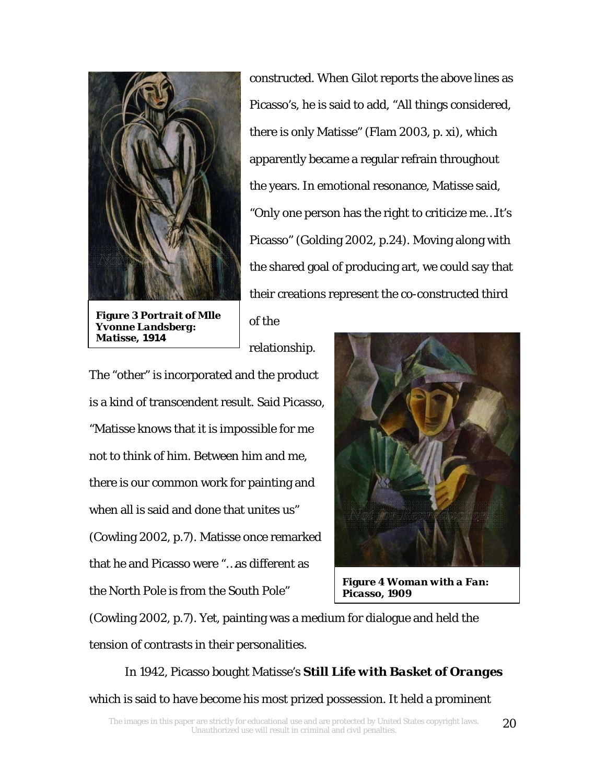

**Figure 3** *Portrait of Mlle Yvonne Landsberg: Matisse, 1914*

constructed. When Gilot reports the above lines as Picasso's, he is said to add, "All things considered, there is only Matisse" (Flam 2003, p. xi), which apparently became a regular refrain throughout the years. In emotional resonance, Matisse said, "Only one person has the right to criticize me…It's Picasso" (Golding 2002, p.24). Moving along with the shared goal of producing art, we could say that their creations represent the co-constructed third

relationship.

of the

The "other" is incorporated and the product is a kind of transcendent result. Said Picasso, "Matisse knows that it is impossible for me not to think of him. Between him and me, there is our common work for painting and when all is said and done that unites us" (Cowling 2002, p.7). Matisse once remarked that he and Picasso were "…as different as the North Pole is from the South Pole"



**Figure 4** *Woman with a Fan: Picasso, 1909*

(Cowling 2002, p.7). Yet, painting was a medium for dialogue and held the tension of contrasts in their personalities.

In 1942, Picasso bought Matisse's *Still Life with Basket of Oranges* which is said to have become his most prized possession. It held a prominent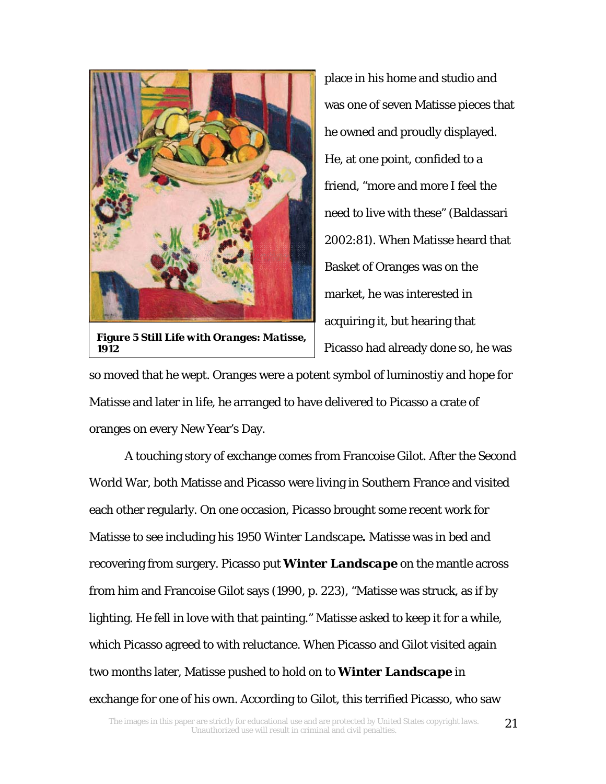

**Figure 5** *Still Life with Oranges: Matisse, 1912*

place in his home and studio and was one of seven Matisse pieces that he owned and proudly displayed. He, at one point, confided to a friend, "more and more I feel the need to live with these" (Baldassari 2002:81). When Matisse heard that Basket of Oranges was on the market, he was interested in acquiring it, but hearing that Picasso had already done so, he was

so moved that he wept. Oranges were a potent symbol of luminostiy and hope for Matisse and later in life, he arranged to have delivered to Picasso a crate of oranges on every New Year's Day.

 A touching story of exchange comes from Francoise Gilot. After the Second World War, both Matisse and Picasso were living in Southern France and visited each other regularly. On one occasion, Picasso brought some recent work for Matisse to see including his 1950 *Winter Landscape.* Matisse was in bed and recovering from surgery. Picasso put *Winter Landscape* on the mantle across from him and Francoise Gilot says (1990, p. 223), "Matisse was struck, as if by lighting. He fell in love with that painting." Matisse asked to keep it for a while, which Picasso agreed to with reluctance. When Picasso and Gilot visited again two months later, Matisse pushed to hold on to *Winter Landscape* in exchange for one of his own. According to Gilot, this terrified Picasso, who saw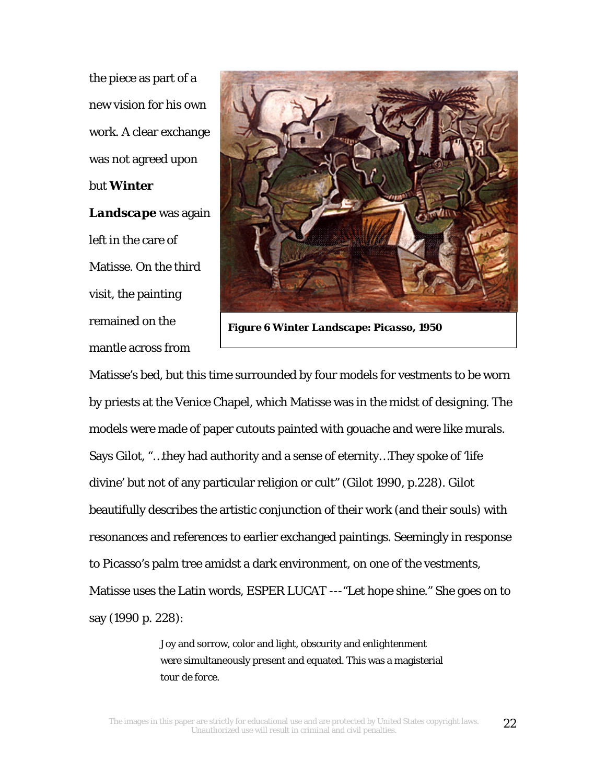the piece as part of a new vision for his own work. A clear exchange was not agreed upon but *Winter Landscape* was again left in the care of Matisse. On the third visit, the painting remained on the mantle across from



**Figure 6** *Winter Landscape: Picasso, 1950*

Matisse's bed, but this time surrounded by four models for vestments to be worn by priests at the Venice Chapel, which Matisse was in the midst of designing. The models were made of paper cutouts painted with gouache and were like murals. Says Gilot, "…they had authority and a sense of eternity…They spoke of 'life divine' but not of any particular religion or cult" (Gilot 1990, p.228). Gilot beautifully describes the artistic conjunction of their work (and their souls) with resonances and references to earlier exchanged paintings. Seemingly in response to Picasso's palm tree amidst a dark environment, on one of the vestments, Matisse uses the Latin words, *ESPER LUCAT -*--"Let hope shine." She goes on to say (1990 p. 228):

> Joy and sorrow, color and light, obscurity and enlightenment were simultaneously present and equated. This was a magisterial *tour de force*.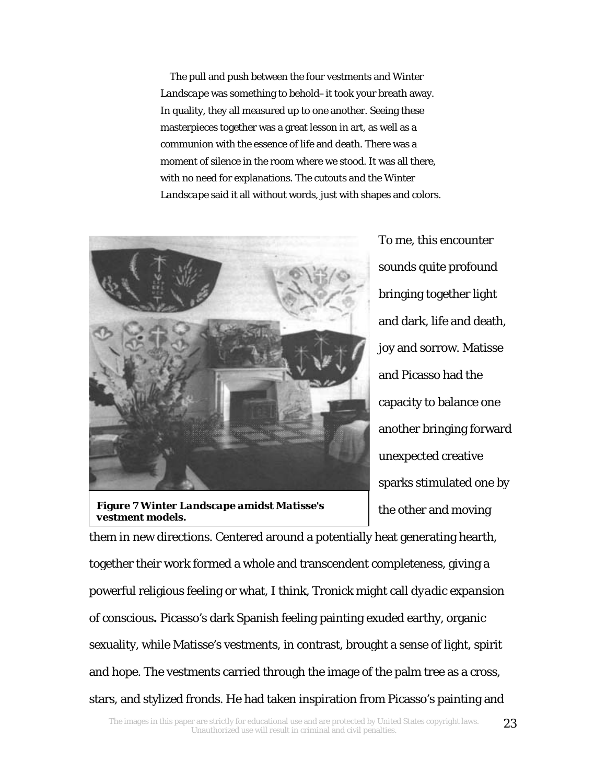The pull and push between the four vestments and *Winter Landscape* was something to behold–it took your breath away. In quality, they all measured up to one another. Seeing these masterpieces together was a great lesson in art, as well as a communion with the essence of life and death. There was a moment of silence in the room where we stood. It was all there, with no need for explanations. The cutouts and the *Winter Landscape* said it all without words, just with shapes and colors.



**Figure 7** *Winter Landscape amidst Matisse's vestment models.*

To me, this encounter sounds quite profound bringing together light and dark, life and death, joy and sorrow. Matisse and Picasso had the capacity to balance one another bringing forward unexpected creative sparks stimulated one by the other and moving

them in new directions. Centered around a potentially heat generating hearth, together their work formed a whole and transcendent completeness, giving a powerful religious feeling or what, I think, Tronick might call *dyadic expansion of conscious.* Picasso's dark Spanish feeling painting exuded earthy, organic sexuality, while Matisse's vestments, in contrast, brought a sense of light, spirit and hope. The vestments carried through the image of the palm tree as a cross, stars, and stylized fronds. He had taken inspiration from Picasso's painting and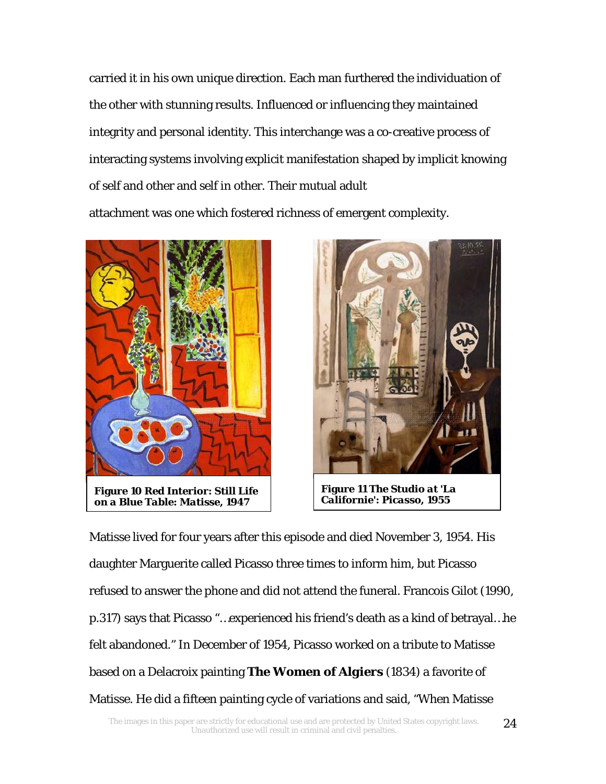carried it in his own unique direction. Each man furthered the individuation of the other with stunning results. Influenced or influencing they maintained integrity and personal identity. This interchange was a co-creative process of interacting systems involving explicit manifestation shaped by implicit knowing of self and other and self in other. Their mutual adult attachment was one which fostered richness of emergent complexity.





Matisse lived for four years after this episode and died November 3, 1954. His daughter Marguerite called Picasso three times to inform him, but Picasso refused to answer the phone and did not attend the funeral. Francois Gilot (1990, p.317) says that Picasso "…experienced his friend's death as a kind of betrayal…he felt abandoned." In December of 1954, Picasso worked on a tribute to Matisse based on a Delacroix painting *The Women of Algiers* (1834) a favorite of Matisse. He did a fifteen painting cycle of variations and said, "When Matisse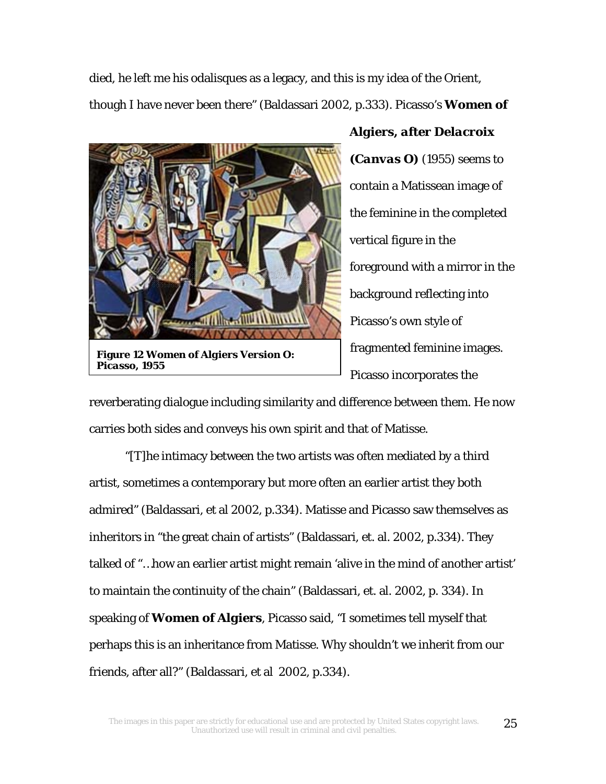died, he left me his odalisques as a legacy, and this is my idea of the Orient, though I have never been there" (Baldassari 2002, p.333). Picasso's *Women of* 



**Figure 12** *Women of Algiers Version O: Picasso, 1955*

# *Algiers, after Delacroix*

*(Canvas O)* (1955) seems to contain a Matissean image of the feminine in the completed vertical figure in the foreground with a mirror in the background reflecting into Picasso's own style of fragmented feminine images. Picasso incorporates the

reverberating dialogue including similarity and difference between them. He now carries both sides and conveys his own spirit and that of Matisse.

 "[T]he intimacy between the two artists was often mediated by a third artist, sometimes a contemporary but more often an earlier artist they both admired" (Baldassari, et al 2002, p.334). Matisse and Picasso saw themselves as inheritors in "the great chain of artists" (Baldassari, et. al. 2002, p.334). They talked of "…how an earlier artist might remain 'alive in the mind of another artist' to maintain the continuity of the chain" (Baldassari, et. al. 2002, p. 334). In speaking of *Women of Algiers*, Picasso said, "I sometimes tell myself that perhaps this is an inheritance from Matisse. Why shouldn't we inherit from our friends, after all?" (Baldassari, et al 2002, p.334).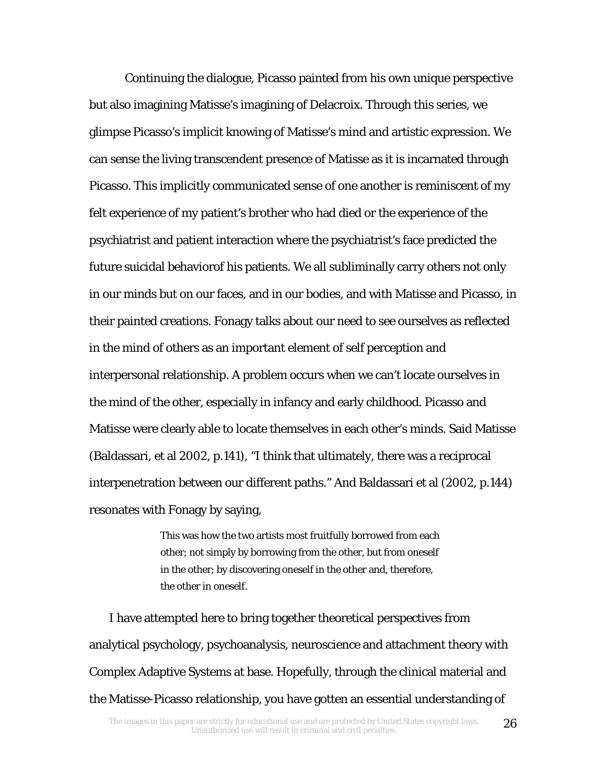Continuing the dialogue, Picasso painted from his own unique perspective but also imagining Matisse's imagining of Delacroix. Through this series, we glimpse Picasso's implicit knowing of Matisse's mind and artistic expression. We can sense the living transcendent presence of Matisse as it is incarnated through Picasso. This implicitly communicated sense of one another is reminiscent of my felt experience of my patient's brother who had died or the experience of the psychiatrist and patient interaction where the psychiatrist's face predicted the future suicidal behaviorof his patients. We all subliminally carry others not only in our minds but on our faces, and in our bodies, and with Matisse and Picasso, in their painted creations. Fonagy talks about our need to see ourselves as reflected in the mind of others as an important element of self perception and interpersonal relationship. A problem occurs when we can't locate ourselves in the mind of the other, especially in infancy and early childhood. Picasso and Matisse were clearly able to locate themselves in each other's minds. Said Matisse (Baldassari, et al 2002, p.141), "I think that ultimately, there was a reciprocal interpenetration between our different paths." And Baldassari et al (2002, p.144) resonates with Fonagy by saying,

> This was how the two artists most fruitfully borrowed from each other; not simply by borrowing from the other, but from oneself in the other; by discovering oneself in the other and, therefore, the other in oneself.

 I have attempted here to bring together theoretical perspectives from analytical psychology, psychoanalysis, neuroscience and attachment theory with Complex Adaptive Systems at base. Hopefully, through the clinical material and the Matisse-Picasso relationship, you have gotten an essential understanding of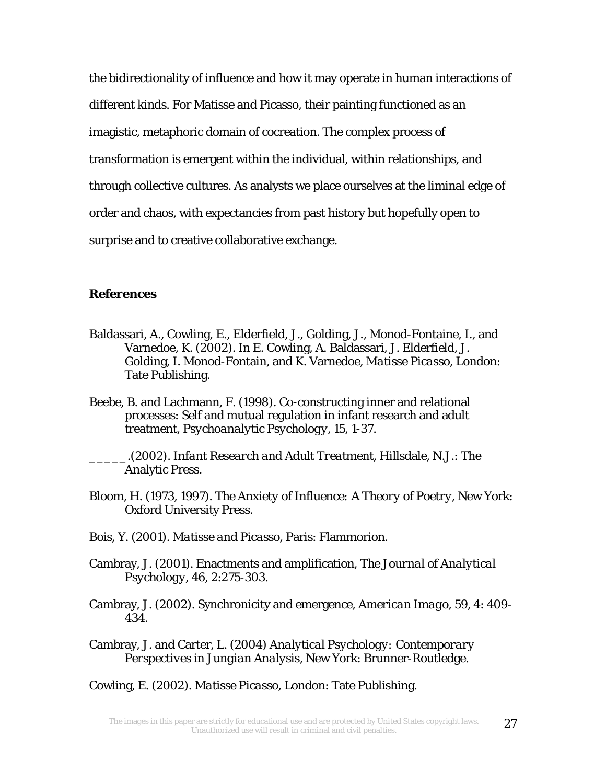the bidirectionality of influence and how it may operate in human interactions of different kinds. For Matisse and Picasso, their painting functioned as an imagistic, metaphoric domain of cocreation. The complex process of transformation is emergent within the individual, within relationships, and through collective cultures. As analysts we place ourselves at the liminal edge of order and chaos, with expectancies from past history but hopefully open to surprise and to creative collaborative exchange.

# *References*

- Baldassari, A., Cowling, E., Elderfield, J., Golding, J., Monod-Fontaine, I., and Varnedoe, K. (2002). In E. Cowling, A. Baldassari, J. Elderfield, J. Golding, I. Monod-Fontain, and K. Varnedoe, *Matisse Picasso*, London: Tate Publishing.
- Beebe, B. and Lachmann, F. (1998). Co-constructing inner and relational processes: Self and mutual regulation in infant research and adult treatment, *Psychoanalytic Psychology*, 15, 1-37.
- \_\_\_\_\_.(2002). *Infant Research and Adult Treatment*, Hillsdale, N.J.: The Analytic Press.
- Bloom, H. (1973, 1997). *The Anxiety of Influence: A Theory of Poetry*, New York: Oxford University Press.
- Bois, Y. (2001). *Matisse and Picasso*, Paris: Flammorion.
- Cambray, J. (2001). Enactments and amplification, *The Journal of Analytical Psychology*, 46, 2:275-303.
- Cambray, J. (2002). Synchronicity and emergence, *American Imago*, 59, 4: 409- 434.
- Cambray, J. and Carter, L. (2004) *Analytical Psychology: Contemporary Perspectives in Jungian Analysis*, New York: Brunner-Routledge.

Cowling, E. (2002). *Matisse Picasso*, London: Tate Publishing.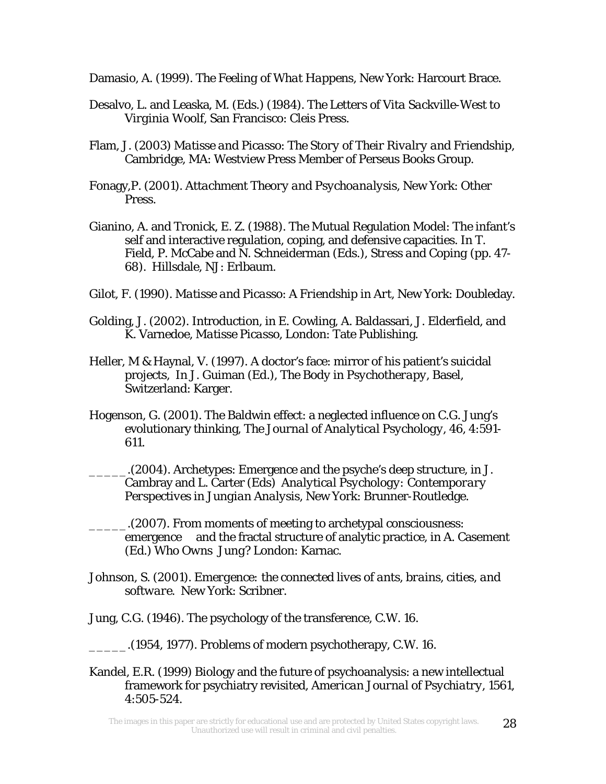Damasio, A. (1999). *The Feeling of What Happens*, New York: Harcourt Brace.

- Desalvo, L. and Leaska, M. (Eds.) (1984). *The Letters of Vita Sackville-West to Virginia Woolf*, San Francisco: Cleis Press.
- Flam, J. (2003) *Matisse and Picasso*: *The Story of Their Rivalry and Friendship*, Cambridge, MA: Westview Press Member of Perseus Books Group.
- Fonagy,P. (2001). *Attachment Theory and Psychoanalysis,* New York: Other Press.
- Gianino, A. and Tronick, E. Z. (1988). The Mutual Regulation Model: The infant's self and interactive regulation, coping, and defensive capacities. In T. Field, P. McCabe and N. Schneiderman (Eds.), *Stress and Coping* (pp. 47- 68). Hillsdale, NJ: Erlbaum.
- Gilot, F. (1990). *Matisse and Picasso*: *A Friendship in Art*, New York: Doubleday.
- Golding, J. (2002). Introduction, in E. Cowling, A. Baldassari, J. Elderfield, and K. Varnedoe, *Matisse Picasso*, London: Tate Publishing.
- Heller, M & Haynal, V. (1997). A doctor's face: mirror of his patient's suicidal projects, In J. Guiman (Ed.), *The Body in Psychotherapy,* Basel, Switzerland: Karger.
- Hogenson, G. (2001). The Baldwin effect: a neglected influence on C.G. Jung's evolutionary thinking, *The Journal of Analytical Psychology*, 46, 4:591- 611.

\_\_\_\_\_.(2004). Archetypes: Emergence and the psyche's deep structure, in J. Cambray and L. Carter (Eds) *Analytical Psychology: Contemporary Perspectives in Jungian Analysis*, New York: Brunner-Routledge.

- \_\_\_\_\_.(2007). From moments of meeting to archetypal consciousness: emergence and the fractal structure of analytic practice, in A. Casement (Ed.) *Who Owns Jung?* London: Karnac.
- Johnson, S. (2001). *Emergence: the connected lives of ants, brains, cities, and software*. New York: Scribner.
- Jung, C.G. (1946). The psychology of the transference, C.W. 16.
- \_\_\_\_\_.(1954, 1977). Problems of modern psychotherapy, C.W. 16.
- Kandel, E.R. (1999) Biology and the future of psychoanalysis: a new intellectual framework for psychiatry revisited, *American Journal of Psychiatry*, 1561, 4:505-524.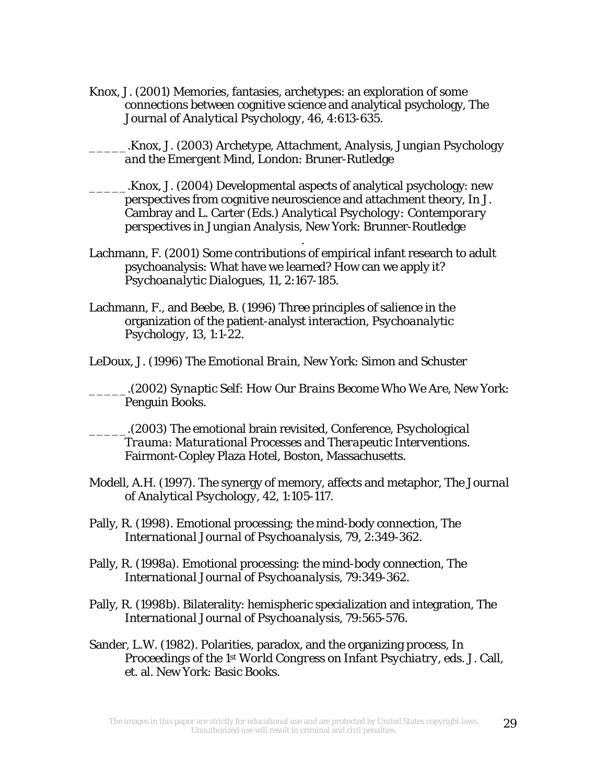Knox, J. (2001) Memories, fantasies, archetypes: an exploration of some connections between cognitive science and analytical psychology, *The Journal of Analytical Psychology*, 46, 4:613-635.

\_\_\_\_\_.Knox, J. (2003) *Archetype, Attachment, Analysis*, *Jungian Psychology and the Emergent Mind*, London: Bruner-Rutledge

- \_\_\_\_\_.Knox, J. (2004) Developmental aspects of analytical psychology: new perspectives from cognitive neuroscience and attachment theory, In J. Cambray and L. Carter (Eds.) *Analytical Psychology: Contemporary perspectives in Jungian Analysis*, New York: Brunner-Routledge
- Lachmann, F. (2001) Some contributions of empirical infant research to adult psychoanalysis: What have we learned? How can we apply it? *Psychoanalytic Dialogues*, 11, 2:167-185.

.

- Lachmann, F., and Beebe, B. (1996) Three principles of salience in the organization of the patient-analyst interaction, *Psychoanalytic Psychology*, 13, 1:1-22.
- LeDoux, J. (1996) *The Emotional Brain*, New York: Simon and Schuster

\_\_\_\_\_.(2002) *Synaptic Self*: *How Our Brains Become Who We Are*, New York: Penguin Books.

\_\_\_\_\_.(2003) The emotional brain revisited, Conference, *Psychological Trauma*: *Maturational Processes and Therapeutic Interventions*. Fairmont-Copley Plaza Hotel, Boston, Massachusetts.

- Modell, A.H. (1997). The synergy of memory, affects and metaphor, *The Journal of Analytical Psychology*, 42, 1:105-117.
- Pally, R. (1998). Emotional processing; the mind-body connection, *The International Journal of Psychoanalysis*, 79, 2:349-362.
- Pally, R. (1998a). Emotional processing: the mind-body connection, *The International Journal of Psychoanalysis*, 79:349-362.
- Pally, R. (1998b). Bilaterality: hemispheric specialization and integration, *The International Journal of Psychoanalysis*, 79:565-576.
- Sander, L.W. (1982). Polarities, paradox, and the organizing process, In *Proceedings of the 1<sup>st</sup> World Congress on Infant Psychiatry, eds. J. Call,* et. al. New York: Basic Books.